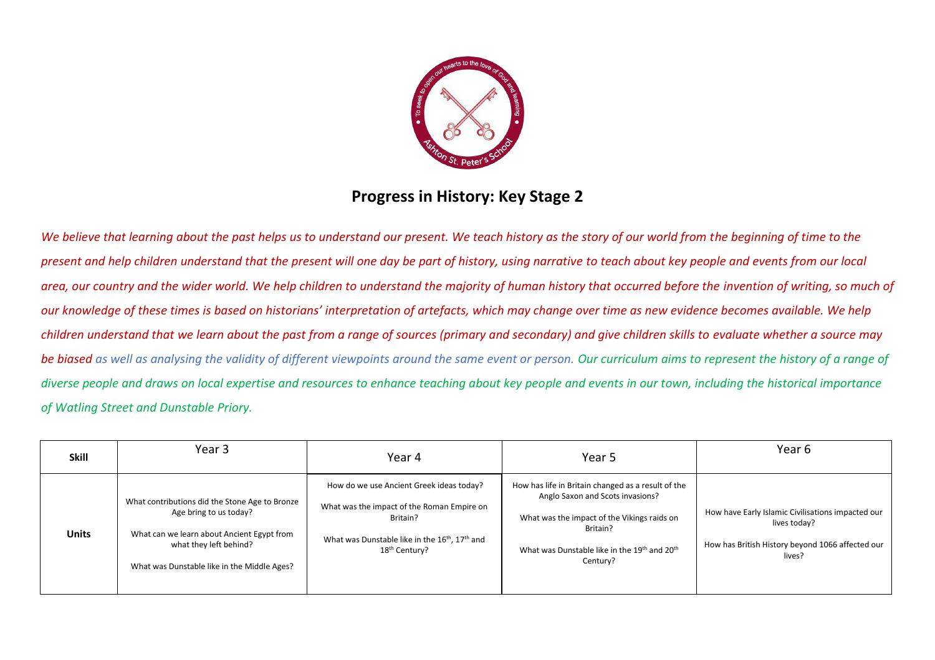

## **Progress in History: Key Stage 2**

We believe that learning about the past helps us to understand our present. We teach history as the story of our world from the beginning of time to the *present and help children understand that the present will one day be part of history, using narrative to teach about key people and events from our local area, our country and the wider world. We help children to understand the majority of human history that occurred before the invention of writing, so much of our knowledge of these times is based on historians' interpretation of artefacts, which may change over time as new evidence becomes available. We help children understand that we learn about the past from a range of sources (primary and secondary) and give children skills to evaluate whether a source may be biased as well as analysing the validity of different viewpoints around the same event or person. Our curriculum aims to represent the history of a range of diverse people and draws on local expertise and resources to enhance teaching about key people and events in our town, including the historical importance of Watling Street and Dunstable Priory.* 

| <b>Skill</b> | Year 3                                                                                                                                                                                          | Year 4                                                                                                                                                                                                    | Year 5                                                                                                                                                                                                        | Year 6                                                                                                                          |
|--------------|-------------------------------------------------------------------------------------------------------------------------------------------------------------------------------------------------|-----------------------------------------------------------------------------------------------------------------------------------------------------------------------------------------------------------|---------------------------------------------------------------------------------------------------------------------------------------------------------------------------------------------------------------|---------------------------------------------------------------------------------------------------------------------------------|
| <b>Units</b> | What contributions did the Stone Age to Bronze<br>Age bring to us today?<br>What can we learn about Ancient Egypt from<br>what they left behind?<br>What was Dunstable like in the Middle Ages? | How do we use Ancient Greek ideas today?<br>What was the impact of the Roman Empire on<br>Britain?<br>What was Dunstable like in the 16 <sup>th</sup> , 17 <sup>th</sup> and<br>18 <sup>th</sup> Century? | How has life in Britain changed as a result of the<br>Anglo Saxon and Scots invasions?<br>What was the impact of the Vikings raids on<br>Britain?<br>What was Dunstable like in the 19th and 20th<br>Century? | How have Early Islamic Civilisations impacted our<br>lives today?<br>How has British History beyond 1066 affected our<br>lives? |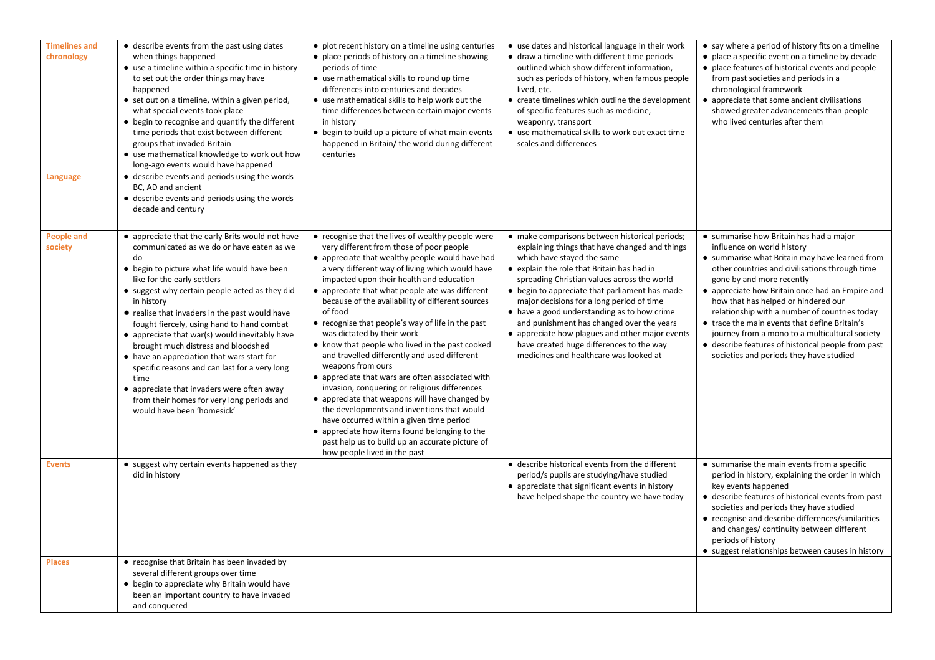| <b>Timelines and</b><br>chronology | • describe events from the past using dates<br>when things happened<br>• use a timeline within a specific time in history<br>to set out the order things may have<br>happened<br>• set out on a timeline, within a given period,<br>what special events took place<br>• begin to recognise and quantify the different<br>time periods that exist between different<br>groups that invaded Britain<br>• use mathematical knowledge to work out how<br>long-ago events would have happened                                                                                                                                                                                     | • plot recent history on a timeline using centuries<br>• place periods of history on a timeline showing<br>periods of time<br>• use mathematical skills to round up time<br>differences into centuries and decades<br>• use mathematical skills to help work out the<br>time differences between certain major events<br>in history<br>• begin to build up a picture of what main events<br>happened in Britain/ the world during different<br>centuries                                                                                                                                                                                                                                                                                                                                                                                                                                                                                                          | • use dates and historical language in their work<br>• draw a timeline with different time periods<br>outlined which show different information,<br>such as periods of history, when famous people<br>lived, etc.<br>• create timelines which outline the development<br>of specific features such as medicine,<br>weaponry, transport<br>• use mathematical skills to work out exact time<br>scales and differences                                                                                                                                            | • say where a period of history fits on a timeline<br>• place a specific event on a timeline by decade<br>• place features of historical events and people<br>from past societies and periods in a<br>chronological framework<br>• appreciate that some ancient civilisations<br>showed greater advancements than people<br>who lived centuries after them                                                                                                                                                                                            |
|------------------------------------|------------------------------------------------------------------------------------------------------------------------------------------------------------------------------------------------------------------------------------------------------------------------------------------------------------------------------------------------------------------------------------------------------------------------------------------------------------------------------------------------------------------------------------------------------------------------------------------------------------------------------------------------------------------------------|-------------------------------------------------------------------------------------------------------------------------------------------------------------------------------------------------------------------------------------------------------------------------------------------------------------------------------------------------------------------------------------------------------------------------------------------------------------------------------------------------------------------------------------------------------------------------------------------------------------------------------------------------------------------------------------------------------------------------------------------------------------------------------------------------------------------------------------------------------------------------------------------------------------------------------------------------------------------|-----------------------------------------------------------------------------------------------------------------------------------------------------------------------------------------------------------------------------------------------------------------------------------------------------------------------------------------------------------------------------------------------------------------------------------------------------------------------------------------------------------------------------------------------------------------|-------------------------------------------------------------------------------------------------------------------------------------------------------------------------------------------------------------------------------------------------------------------------------------------------------------------------------------------------------------------------------------------------------------------------------------------------------------------------------------------------------------------------------------------------------|
| Language                           | • describe events and periods using the words<br>BC, AD and ancient<br>• describe events and periods using the words<br>decade and century                                                                                                                                                                                                                                                                                                                                                                                                                                                                                                                                   |                                                                                                                                                                                                                                                                                                                                                                                                                                                                                                                                                                                                                                                                                                                                                                                                                                                                                                                                                                   |                                                                                                                                                                                                                                                                                                                                                                                                                                                                                                                                                                 |                                                                                                                                                                                                                                                                                                                                                                                                                                                                                                                                                       |
| <b>People and</b><br>society       | • appreciate that the early Brits would not have<br>communicated as we do or have eaten as we<br>do<br>• begin to picture what life would have been<br>like for the early settlers<br>• suggest why certain people acted as they did<br>in history<br>• realise that invaders in the past would have<br>fought fiercely, using hand to hand combat<br>• appreciate that war(s) would inevitably have<br>brought much distress and bloodshed<br>• have an appreciation that wars start for<br>specific reasons and can last for a very long<br>time<br>• appreciate that invaders were often away<br>from their homes for very long periods and<br>would have been 'homesick' | • recognise that the lives of wealthy people were<br>very different from those of poor people<br>• appreciate that wealthy people would have had<br>a very different way of living which would have<br>impacted upon their health and education<br>• appreciate that what people ate was different<br>because of the availability of different sources<br>of food<br>• recognise that people's way of life in the past<br>was dictated by their work<br>• know that people who lived in the past cooked<br>and travelled differently and used different<br>weapons from ours<br>• appreciate that wars are often associated with<br>invasion, conquering or religious differences<br>• appreciate that weapons will have changed by<br>the developments and inventions that would<br>have occurred within a given time period<br>• appreciate how items found belonging to the<br>past help us to build up an accurate picture of<br>how people lived in the past | • make comparisons between historical periods;<br>explaining things that have changed and things<br>which have stayed the same<br>• explain the role that Britain has had in<br>spreading Christian values across the world<br>• begin to appreciate that parliament has made<br>major decisions for a long period of time<br>• have a good understanding as to how crime<br>and punishment has changed over the years<br>• appreciate how plagues and other major events<br>have created huge differences to the way<br>medicines and healthcare was looked at | • summarise how Britain has had a major<br>influence on world history<br>• summarise what Britain may have learned from<br>other countries and civilisations through time<br>gone by and more recently<br>• appreciate how Britain once had an Empire and<br>how that has helped or hindered our<br>relationship with a number of countries today<br>• trace the main events that define Britain's<br>journey from a mono to a multicultural society<br>• describe features of historical people from past<br>societies and periods they have studied |
| <b>Events</b>                      | • suggest why certain events happened as they<br>did in history                                                                                                                                                                                                                                                                                                                                                                                                                                                                                                                                                                                                              |                                                                                                                                                                                                                                                                                                                                                                                                                                                                                                                                                                                                                                                                                                                                                                                                                                                                                                                                                                   | • describe historical events from the different<br>period/s pupils are studying/have studied<br>• appreciate that significant events in history<br>have helped shape the country we have today                                                                                                                                                                                                                                                                                                                                                                  | • summarise the main events from a specific<br>period in history, explaining the order in which<br>key events happened<br>• describe features of historical events from past<br>societies and periods they have studied<br>• recognise and describe differences/similarities<br>and changes/ continuity between different<br>periods of history<br>• suggest relationships between causes in history                                                                                                                                                  |
| <b>Places</b>                      | • recognise that Britain has been invaded by<br>several different groups over time<br>• begin to appreciate why Britain would have<br>been an important country to have invaded<br>and conquered                                                                                                                                                                                                                                                                                                                                                                                                                                                                             |                                                                                                                                                                                                                                                                                                                                                                                                                                                                                                                                                                                                                                                                                                                                                                                                                                                                                                                                                                   |                                                                                                                                                                                                                                                                                                                                                                                                                                                                                                                                                                 |                                                                                                                                                                                                                                                                                                                                                                                                                                                                                                                                                       |